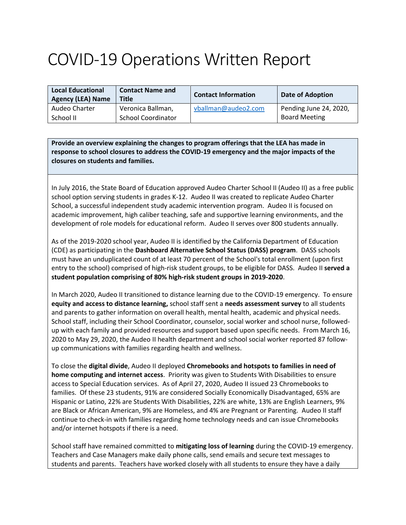## COVID-19 Operations Written Report

| <b>Local Educational</b><br><b>Agency (LEA) Name</b> | <b>Contact Name and</b><br><b>Title</b> | <b>Contact Information</b> | <b>Date of Adoption</b> |
|------------------------------------------------------|-----------------------------------------|----------------------------|-------------------------|
| Audeo Charter                                        | Veronica Ballman,                       | vballman@audeo2.com        | Pending June 24, 2020,  |
| School II                                            | <b>School Coordinator</b>               |                            | <b>Board Meeting</b>    |

**Provide an overview explaining the changes to program offerings that the LEA has made in response to school closures to address the COVID-19 emergency and the major impacts of the closures on students and families.**

In July 2016, the State Board of Education approved Audeo Charter School II (Audeo II) as a free public school option serving students in grades K-12. Audeo II was created to replicate Audeo Charter School, a successful independent study academic intervention program. Audeo II is focused on academic improvement, high caliber teaching, safe and supportive learning environments, and the development of role models for educational reform. Audeo II serves over 800 students annually.

As of the 2019-2020 school year, Audeo II is identified by the California Department of Education (CDE) as participating in the **Dashboard Alternative School Status (DASS) program**. DASS schools must have an unduplicated count of at least 70 percent of the School's total enrollment (upon first entry to the school) comprised of high-risk student groups, to be eligible for DASS. Audeo II **served a student population comprising of 80% high-risk student groups in 2019-2020**.

In March 2020, Audeo II transitioned to distance learning due to the COVID-19 emergency. To ensure **equity and access to distance learning,** school staff sent a **needs assessment survey** to all students and parents to gather information on overall health, mental health, academic and physical needs. School staff, including their School Coordinator, counselor, social worker and school nurse, followedup with each family and provided resources and support based upon specific needs. From March 16, 2020 to May 29, 2020, the Audeo II health department and school social worker reported 87 followup communications with families regarding health and wellness.

To close the **digital divide**, Audeo II deployed **Chromebooks and hotspots to families in need of home computing and internet access**. Priority was given to Students With Disabilities to ensure access to Special Education services. As of April 27, 2020, Audeo II issued 23 Chromebooks to families. Of these 23 students, 91% are considered Socially Economically Disadvantaged, 65% are Hispanic or Latino, 22% are Students With Disabilities, 22% are white, 13% are English Learners, 9% are Black or African American, 9% are Homeless, and 4% are Pregnant or Parenting. Audeo II staff continue to check-in with families regarding home technology needs and can issue Chromebooks and/or internet hotspots if there is a need.

School staff have remained committed to **mitigating loss of learning** during the COVID-19 emergency. Teachers and Case Managers make daily phone calls, send emails and secure text messages to students and parents. Teachers have worked closely with all students to ensure they have a daily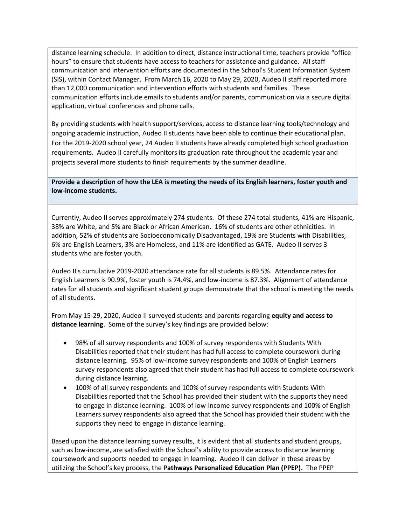distance learning schedule. In addition to direct, distance instructional time, teachers provide "office hours" to ensure that students have access to teachers for assistance and guidance. All staff communication and intervention efforts are documented in the School's Student Information System (SIS), within Contact Manager. From March 16, 2020 to May 29, 2020, Audeo II staff reported more than 12,000 communication and intervention efforts with students and families. These communication efforts include emails to students and/or parents, communication via a secure digital application, virtual conferences and phone calls.

By providing students with health support/services, access to distance learning tools/technology and ongoing academic instruction, Audeo II students have been able to continue their educational plan. For the 2019-2020 school year, 24 Audeo II students have already completed high school graduation requirements. Audeo II carefully monitors its graduation rate throughout the academic year and projects several more students to finish requirements by the summer deadline.

**Provide a description of how the LEA is meeting the needs of its English learners, foster youth and low-income students.**

Currently, Audeo II serves approximately 274 students. Of these 274 total students, 41% are Hispanic, 38% are White, and 5% are Black or African American. 16% of students are other ethnicities. In addition, 52% of students are Socioeconomically Disadvantaged, 19% are Students with Disabilities, 6% are English Learners, 3% are Homeless, and 11% are identified as GATE. Audeo II serves 3 students who are foster youth.

Audeo II's cumulative 2019-2020 attendance rate for all students is 89.5%. Attendance rates for English Learners is 90.9%, foster youth is 74.4%, and low-income is 87.3%. Alignment of attendance rates for all students and significant student groups demonstrate that the school is meeting the needs of all students.

From May 15-29, 2020, Audeo II surveyed students and parents regarding **equity and access to distance learning**. Some of the survey's key findings are provided below:

- 98% of all survey respondents and 100% of survey respondents with Students With Disabilities reported that their student has had full access to complete coursework during distance learning. 95% of low-income survey respondents and 100% of English Learners survey respondents also agreed that their student has had full access to complete coursework during distance learning.
- 100% of all survey respondents and 100% of survey respondents with Students With Disabilities reported that the School has provided their student with the supports they need to engage in distance learning. 100% of low-income survey respondents and 100% of English Learners survey respondents also agreed that the School has provided their student with the supports they need to engage in distance learning.

Based upon the distance learning survey results, it is evident that all students and student groups, such as low-income, are satisfied with the School's ability to provide access to distance learning coursework and supports needed to engage in learning. Audeo II can deliver in these areas by utilizing the School's key process, the **Pathways Personalized Education Plan (PPEP).** The PPEP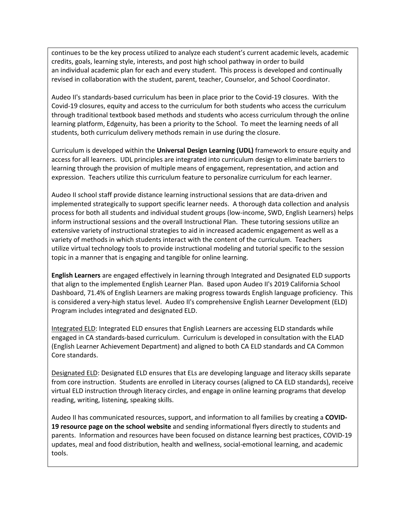continues to be the key process utilized to analyze each student's current academic levels, academic credits, goals, learning style, interests, and post high school pathway in order to build an individual academic plan for each and every student. This process is developed and continually revised in collaboration with the student, parent, teacher, Counselor, and School Coordinator.

Audeo II's standards-based curriculum has been in place prior to the Covid-19 closures. With the Covid-19 closures, equity and access to the curriculum for both students who access the curriculum through traditional textbook based methods and students who access curriculum through the online learning platform, Edgenuity, has been a priority to the School. To meet the learning needs of all students, both curriculum delivery methods remain in use during the closure.

Curriculum is developed within the **Universal Design Learning (UDL)** framework to ensure equity and access for all learners. UDL principles are integrated into curriculum design to eliminate barriers to learning through the provision of multiple means of engagement, representation, and action and expression. Teachers utilize this curriculum feature to personalize curriculum for each learner.

Audeo II school staff provide distance learning instructional sessions that are data-driven and implemented strategically to support specific learner needs. A thorough data collection and analysis process for both all students and individual student groups (low-income, SWD, English Learners) helps inform instructional sessions and the overall Instructional Plan. These tutoring sessions utilize an extensive variety of instructional strategies to aid in increased academic engagement as well as a variety of methods in which students interact with the content of the curriculum. Teachers utilize virtual technology tools to provide instructional modeling and tutorial specific to the session topic in a manner that is engaging and tangible for online learning.

**English Learners** are engaged effectively in learning through Integrated and Designated ELD supports that align to the implemented English Learner Plan. Based upon Audeo II's 2019 California School Dashboard, 71.4% of English Learners are making progress towards English language proficiency. This is considered a very-high status level. Audeo II's comprehensive English Learner Development (ELD) Program includes integrated and designated ELD.

Integrated ELD: Integrated ELD ensures that English Learners are accessing ELD standards while engaged in CA standards-based curriculum. Curriculum is developed in consultation with the ELAD (English Learner Achievement Department) and aligned to both CA ELD standards and CA Common Core standards.

Designated ELD: Designated ELD ensures that ELs are developing language and literacy skills separate from core instruction. Students are enrolled in Literacy courses (aligned to CA ELD standards), receive virtual ELD instruction through literacy circles, and engage in online learning programs that develop reading, writing, listening, speaking skills.

Audeo II has communicated resources, support, and information to all families by creating a **COVID-19 resource page on the school website** and sending informational flyers directly to students and parents. Information and resources have been focused on distance learning best practices, COVID-19 updates, meal and food distribution, health and wellness, social-emotional learning, and academic tools.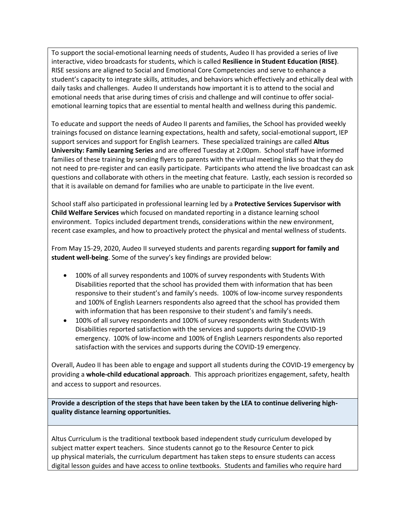To support the social-emotional learning needs of students, Audeo II has provided a series of live interactive, video broadcasts for students, which is called **Resilience in Student Education (RISE)**. RISE sessions are aligned to Social and Emotional Core Competencies and serve to enhance a student's capacity to integrate skills, attitudes, and behaviors which effectively and ethically deal with daily tasks and challenges. Audeo II understands how important it is to attend to the social and emotional needs that arise during times of crisis and challenge and will continue to offer socialemotional learning topics that are essential to mental health and wellness during this pandemic.

To educate and support the needs of Audeo II parents and families, the School has provided weekly trainings focused on distance learning expectations, health and safety, social-emotional support, IEP support services and support for English Learners. These specialized trainings are called **Altus University: Family Learning Series** and are offered Tuesday at 2:00pm. School staff have informed families of these training by sending flyers to parents with the virtual meeting links so that they do not need to pre-register and can easily participate. Participants who attend the live broadcast can ask questions and collaborate with others in the meeting chat feature. Lastly, each session is recorded so that it is available on demand for families who are unable to participate in the live event.

School staff also participated in professional learning led by a **Protective Services Supervisor with Child Welfare Services** which focused on mandated reporting in a distance learning school environment. Topics included department trends, considerations within the new environment, recent case examples, and how to proactively protect the physical and mental wellness of students.

From May 15-29, 2020, Audeo II surveyed students and parents regarding **support for family and student well-being**. Some of the survey's key findings are provided below:

- 100% of all survey respondents and 100% of survey respondents with Students With Disabilities reported that the school has provided them with information that has been responsive to their student's and family's needs. 100% of low-income survey respondents and 100% of English Learners respondents also agreed that the school has provided them with information that has been responsive to their student's and family's needs.
- 100% of all survey respondents and 100% of survey respondents with Students With Disabilities reported satisfaction with the services and supports during the COVID-19 emergency. 100% of low-income and 100% of English Learners respondents also reported satisfaction with the services and supports during the COVID-19 emergency.

Overall, Audeo II has been able to engage and support all students during the COVID-19 emergency by providing a **whole-child educational approach**. This approach prioritizes engagement, safety, health and access to support and resources.

**Provide a description of the steps that have been taken by the LEA to continue delivering highquality distance learning opportunities.**

Altus Curriculum is the traditional textbook based independent study curriculum developed by subject matter expert teachers. Since students cannot go to the Resource Center to pick up physical materials, the curriculum department has taken steps to ensure students can access digital lesson guides and have access to online textbooks. Students and families who require hard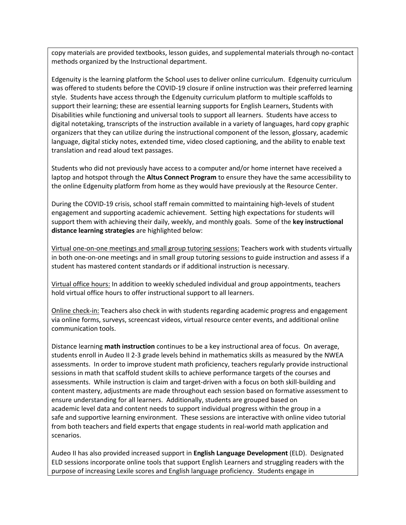copy materials are provided textbooks, lesson guides, and supplemental materials through no-contact methods organized by the Instructional department.

Edgenuity is the learning platform the School uses to deliver online curriculum. Edgenuity curriculum was offered to students before the COVID-19 closure if online instruction was their preferred learning style. Students have access through the Edgenuity curriculum platform to multiple scaffolds to support their learning; these are essential learning supports for English Learners, Students with Disabilities while functioning and universal tools to support all learners. Students have access to digital notetaking, transcripts of the instruction available in a variety of languages, hard copy graphic organizers that they can utilize during the instructional component of the lesson, glossary, academic language, digital sticky notes, extended time, video closed captioning, and the ability to enable text translation and read aloud text passages.

Students who did not previously have access to a computer and/or home internet have received a laptop and hotspot through the **Altus Connect Program** to ensure they have the same accessibility to the online Edgenuity platform from home as they would have previously at the Resource Center.

During the COVID-19 crisis, school staff remain committed to maintaining high-levels of student engagement and supporting academic achievement. Setting high expectations for students will support them with achieving their daily, weekly, and monthly goals. Some of the **key instructional distance learning strategies** are highlighted below:

Virtual one-on-one meetings and small group tutoring sessions: Teachers work with students virtually in both one-on-one meetings and in small group tutoring sessions to guide instruction and assess if a student has mastered content standards or if additional instruction is necessary.

Virtual office hours: In addition to weekly scheduled individual and group appointments, teachers hold virtual office hours to offer instructional support to all learners.

Online check-in: Teachers also check in with students regarding academic progress and engagement via online forms, surveys, screencast videos, virtual resource center events, and additional online communication tools.

Distance learning **math instruction** continues to be a key instructional area of focus. On average, students enroll in Audeo II 2-3 grade levels behind in mathematics skills as measured by the NWEA assessments. In order to improve student math proficiency, teachers regularly provide instructional sessions in math that scaffold student skills to achieve performance targets of the courses and assessments. While instruction is claim and target-driven with a focus on both skill-building and content mastery, adjustments are made throughout each session based on formative assessment to ensure understanding for all learners. Additionally, students are grouped based on academic level data and content needs to support individual progress within the group in a safe and supportive learning environment. These sessions are interactive with online video tutorial from both teachers and field experts that engage students in real-world math application and scenarios.

Audeo II has also provided increased support in **English Language Development** (ELD). Designated ELD sessions incorporate online tools that support English Learners and struggling readers with the purpose of increasing Lexile scores and English language proficiency. Students engage in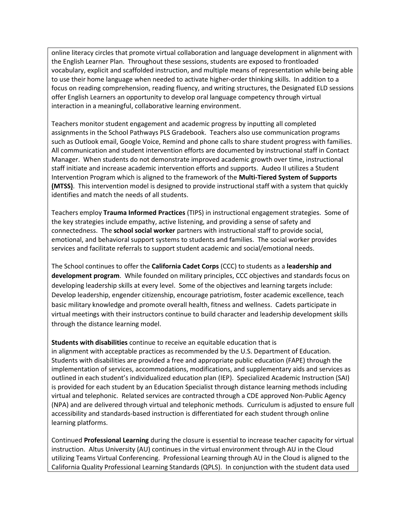online literacy circles that promote virtual collaboration and language development in alignment with the English Learner Plan. Throughout these sessions, students are exposed to frontloaded vocabulary, explicit and scaffolded instruction, and multiple means of representation while being able to use their home language when needed to activate higher-order thinking skills. In addition to a focus on reading comprehension, reading fluency, and writing structures, the Designated ELD sessions offer English Learners an opportunity to develop oral language competency through virtual interaction in a meaningful, collaborative learning environment.

Teachers monitor student engagement and academic progress by inputting all completed assignments in the School Pathways PLS Gradebook. Teachers also use communication programs such as Outlook email, Google Voice, Remind and phone calls to share student progress with families. All communication and student intervention efforts are documented by instructional staff in Contact Manager. When students do not demonstrate improved academic growth over time, instructional staff initiate and increase academic intervention efforts and supports. Audeo II utilizes a Student Intervention Program which is aligned to the framework of the **Multi-Tiered System of Supports (MTSS)**. This intervention model is designed to provide instructional staff with a system that quickly identifies and match the needs of all students.

Teachers employ **Trauma Informed Practices** (TIPS) in instructional engagement strategies. Some of the key strategies include empathy, active listening, and providing a sense of safety and connectedness. The **school social worker** partners with instructional staff to provide social, emotional, and behavioral support systems to students and families. The social worker provides services and facilitate referrals to support student academic and social/emotional needs.

The School continues to offer the **California Cadet Corps** (CCC) to students as a **leadership and development program**. While founded on military principles, CCC objectives and standards focus on developing leadership skills at every level. Some of the objectives and learning targets include: Develop leadership, engender citizenship, encourage patriotism, foster academic excellence, teach basic military knowledge and promote overall health, fitness and wellness. Cadets participate in virtual meetings with their instructors continue to build character and leadership development skills through the distance learning model.

**Students with disabilities** continue to receive an equitable education that is in alignment with acceptable practices as recommended by the U.S. Department of Education. Students with disabilities are provided a free and appropriate public education (FAPE) through the implementation of services, accommodations, modifications, and supplementary aids and services as outlined in each student's individualized education plan (IEP). Specialized Academic Instruction (SAI) is provided for each student by an Education Specialist through distance learning methods including virtual and telephonic. Related services are contracted through a CDE approved Non-Public Agency (NPA) and are delivered through virtual and telephonic methods. Curriculum is adjusted to ensure full accessibility and standards-based instruction is differentiated for each student through online learning platforms.

Continued **Professional Learning** during the closure is essential to increase teacher capacity for virtual instruction. Altus University (AU) continues in the virtual environment through AU in the Cloud utilizing Teams Virtual Conferencing. Professional Learning through AU in the Cloud is aligned to the California Quality Professional Learning Standards (QPLS). In conjunction with the student data used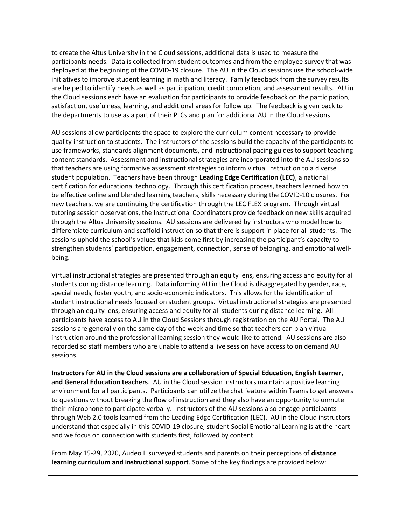to create the Altus University in the Cloud sessions, additional data is used to measure the participants needs. Data is collected from student outcomes and from the employee survey that was deployed at the beginning of the COVID-19 closure. The AU in the Cloud sessions use the school-wide initiatives to improve student learning in math and literacy. Family feedback from the survey results are helped to identify needs as well as participation, credit completion, and assessment results. AU in the Cloud sessions each have an evaluation for participants to provide feedback on the participation, satisfaction, usefulness, learning, and additional areas for follow up. The feedback is given back to the departments to use as a part of their PLCs and plan for additional AU in the Cloud sessions.

AU sessions allow participants the space to explore the curriculum content necessary to provide quality instruction to students. The instructors of the sessions build the capacity of the participants to use frameworks, standards alignment documents, and instructional pacing guides to support teaching content standards. Assessment and instructional strategies are incorporated into the AU sessions so that teachers are using formative assessment strategies to inform virtual instruction to a diverse student population. Teachers have been through **Leading Edge Certification (LEC)**, a national certification for educational technology. Through this certification process, teachers learned how to be effective online and blended learning teachers, skills necessary during the COVID-10 closures. For new teachers, we are continuing the certification through the LEC FLEX program. Through virtual tutoring session observations, the Instructional Coordinators provide feedback on new skills acquired through the Altus University sessions. AU sessions are delivered by instructors who model how to differentiate curriculum and scaffold instruction so that there is support in place for all students. The sessions uphold the school's values that kids come first by increasing the participant's capacity to strengthen students' participation, engagement, connection, sense of belonging, and emotional wellbeing.

Virtual instructional strategies are presented through an equity lens, ensuring access and equity for all students during distance learning. Data informing AU in the Cloud is disaggregated by gender, race, special needs, foster youth, and socio-economic indicators. This allows for the identification of student instructional needs focused on student groups. Virtual instructional strategies are presented through an equity lens, ensuring access and equity for all students during distance learning. All participants have access to AU in the Cloud Sessions through registration on the AU Portal. The AU sessions are generally on the same day of the week and time so that teachers can plan virtual instruction around the professional learning session they would like to attend. AU sessions are also recorded so staff members who are unable to attend a live session have access to on demand AU sessions.

**Instructors for AU in the Cloud sessions are a collaboration of Special Education, English Learner, and General Education teachers**. AU in the Cloud session instructors maintain a positive learning environment for all participants. Participants can utilize the chat feature within Teams to get answers to questions without breaking the flow of instruction and they also have an opportunity to unmute their microphone to participate verbally. Instructors of the AU sessions also engage participants through Web 2.0 tools learned from the Leading Edge Certification (LEC). AU in the Cloud instructors understand that especially in this COVID-19 closure, student Social Emotional Learning is at the heart and we focus on connection with students first, followed by content.

From May 15-29, 2020, Audeo II surveyed students and parents on their perceptions of **distance learning curriculum and instructional support**. Some of the key findings are provided below: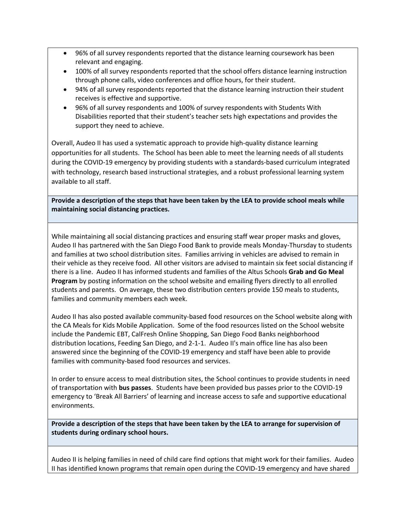- 96% of all survey respondents reported that the distance learning coursework has been relevant and engaging.
- 100% of all survey respondents reported that the school offers distance learning instruction through phone calls, video conferences and office hours, for their student.
- 94% of all survey respondents reported that the distance learning instruction their student receives is effective and supportive.
- 96% of all survey respondents and 100% of survey respondents with Students With Disabilities reported that their student's teacher sets high expectations and provides the support they need to achieve.

Overall, Audeo II has used a systematic approach to provide high-quality distance learning opportunities for all students. The School has been able to meet the learning needs of all students during the COVID-19 emergency by providing students with a standards-based curriculum integrated with technology, research based instructional strategies, and a robust professional learning system available to all staff.

**Provide a description of the steps that have been taken by the LEA to provide school meals while maintaining social distancing practices.**

While maintaining all social distancing practices and ensuring staff wear proper masks and gloves, Audeo II has partnered with the San Diego Food Bank to provide meals Monday-Thursday to students and families at two school distribution sites. Families arriving in vehicles are advised to remain in their vehicle as they receive food. All other visitors are advised to maintain six feet social distancing if there is a line. Audeo II has informed students and families of the Altus Schools **Grab and Go Meal Program** by posting information on the school website and emailing flyers directly to all enrolled students and parents. On average, these two distribution centers provide 150 meals to students, families and community members each week.

Audeo II has also posted available community-based food resources on the School website along with the CA Meals for Kids Mobile Application. Some of the food resources listed on the School website include the Pandemic EBT, CalFresh Online Shopping, San Diego Food Banks neighborhood distribution locations, Feeding San Diego, and 2-1-1. Audeo II's main office line has also been answered since the beginning of the COVID-19 emergency and staff have been able to provide families with community-based food resources and services.

In order to ensure access to meal distribution sites, the School continues to provide students in need of transportation with **bus passes**. Students have been provided bus passes prior to the COVID-19 emergency to 'Break All Barriers' of learning and increase access to safe and supportive educational environments.

**Provide a description of the steps that have been taken by the LEA to arrange for supervision of students during ordinary school hours.**

Audeo II is helping families in need of child care find options that might work for their families. Audeo II has identified known programs that remain open during the COVID-19 emergency and have shared